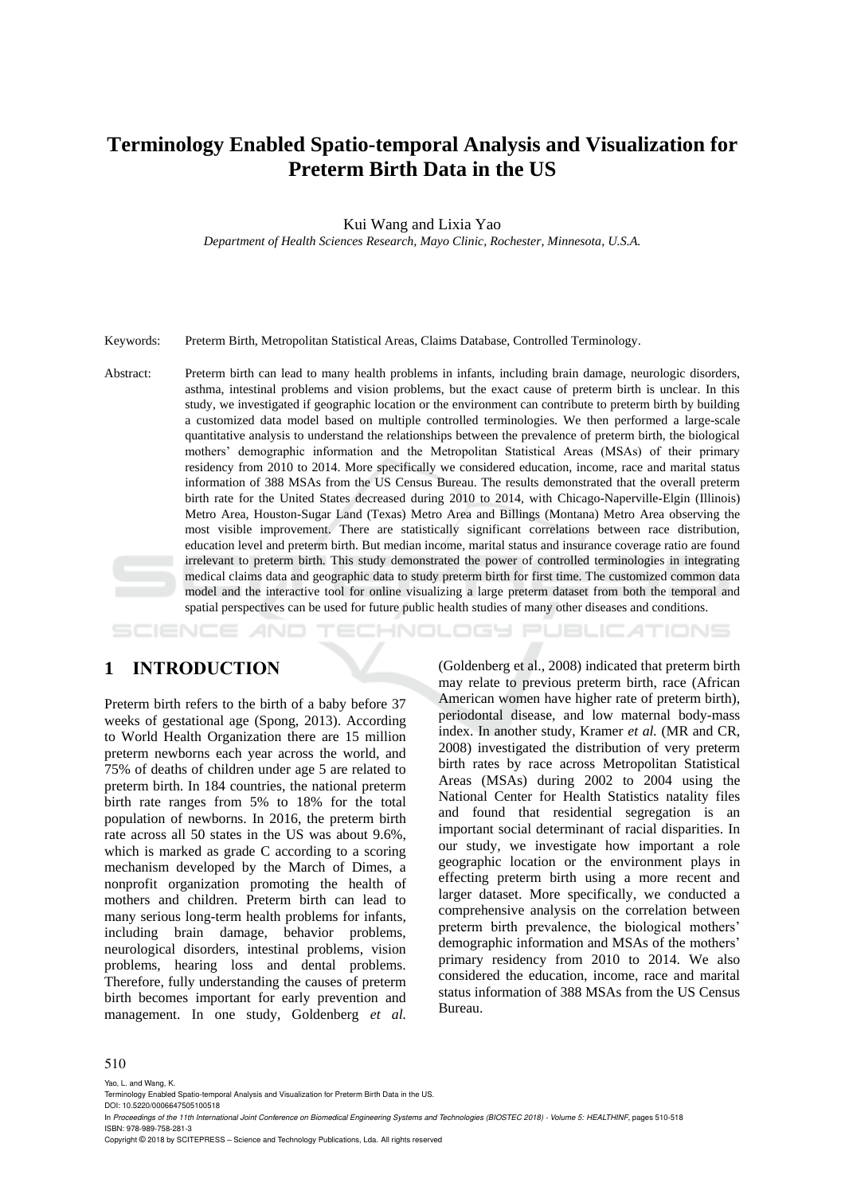# **Terminology Enabled Spatio-temporal Analysis and Visualization for Preterm Birth Data in the US**

Kui Wang and Lixia Yao

*Department of Health Sciences Research, Mayo Clinic, Rochester, Minnesota, U.S.A.*

Keywords: Preterm Birth, Metropolitan Statistical Areas, Claims Database, Controlled Terminology.

Abstract: Preterm birth can lead to many health problems in infants, including brain damage, neurologic disorders, asthma, intestinal problems and vision problems, but the exact cause of preterm birth is unclear. In this study, we investigated if geographic location or the environment can contribute to preterm birth by building a customized data model based on multiple controlled terminologies. We then performed a large-scale quantitative analysis to understand the relationships between the prevalence of preterm birth, the biological mothers' demographic information and the Metropolitan Statistical Areas (MSAs) of their primary residency from 2010 to 2014. More specifically we considered education, income, race and marital status information of 388 MSAs from the US Census Bureau. The results demonstrated that the overall preterm birth rate for the United States decreased during 2010 to 2014, with Chicago-Naperville-Elgin (Illinois) Metro Area, Houston-Sugar Land (Texas) Metro Area and Billings (Montana) Metro Area observing the most visible improvement. There are statistically significant correlations between race distribution, education level and preterm birth. But median income, marital status and insurance coverage ratio are found irrelevant to preterm birth. This study demonstrated the power of controlled terminologies in integrating medical claims data and geographic data to study preterm birth for first time. The customized common data model and the interactive tool for online visualizing a large preterm dataset from both the temporal and spatial perspectives can be used for future public health studies of many other diseases and conditions.

#### -INOLOGY Pl JBLICATIONS

### **1 INTRODUCTION**

Preterm birth refers to the birth of a baby before 37 weeks of gestational age (Spong, 2013). According to World Health Organization there are 15 million preterm newborns each year across the world, and 75% of deaths of children under age 5 are related to preterm birth. In 184 countries, the national preterm birth rate ranges from 5% to 18% for the total population of newborns. In 2016, the preterm birth rate across all 50 states in the US was about 9.6%, which is marked as grade C according to a scoring mechanism developed by the March of Dimes, a nonprofit organization promoting the health of mothers and children. Preterm birth can lead to many serious long-term health problems for infants, including brain damage, behavior problems, neurological disorders, intestinal problems, vision problems, hearing loss and dental problems. Therefore, fully understanding the causes of preterm birth becomes important for early prevention and management. In one study, Goldenberg *et al.*

(Goldenberg et al., 2008) indicated that preterm birth may relate to previous preterm birth, race (African American women have higher rate of preterm birth), periodontal disease, and low maternal body-mass index. In another study, Kramer *et al.* (MR and CR, 2008) investigated the distribution of very preterm birth rates by race across Metropolitan Statistical Areas (MSAs) during 2002 to 2004 using the National Center for Health Statistics natality files and found that residential segregation is an important social determinant of racial disparities. In our study, we investigate how important a role geographic location or the environment plays in effecting preterm birth using a more recent and larger dataset. More specifically, we conducted a comprehensive analysis on the correlation between preterm birth prevalence, the biological mothers' demographic information and MSAs of the mothers' primary residency from 2010 to 2014. We also considered the education, income, race and marital status information of 388 MSAs from the US Census Bureau.

#### 510

Yao, L. and Wang, K.

DOI: 10.5220/0006647505100518

Copyright © 2018 by SCITEPRESS – Science and Technology Publications, Lda. All rights reserved

Terminology Enabled Spatio-temporal Analysis and Visualization for Preterm Birth Data in the US.

In *Proceedings of the 11th International Joint Conference on Biomedical Engineering Systems and Technologies (BIOSTEC 2018) - Volume 5: HEALTHINF*, pages 510-518 ISBN: 978-989-758-281-3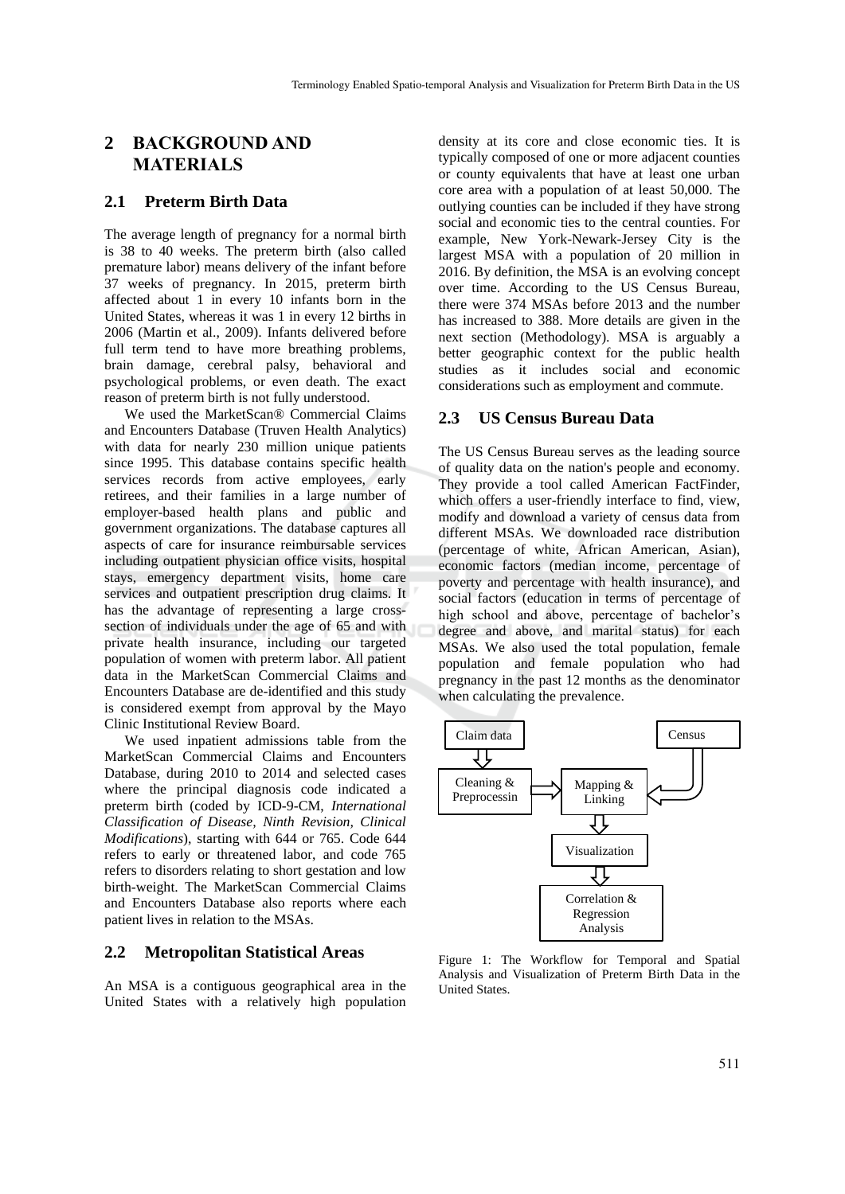## **2 BACKGROUND AND MATERIALS**

#### **2.1 Preterm Birth Data**

The average length of pregnancy for a normal birth is 38 to 40 weeks. The preterm birth (also called premature labor) means delivery of the infant before 37 weeks of pregnancy. In 2015, preterm birth affected about 1 in every 10 infants born in the United States, whereas it was 1 in every 12 births in 2006 (Martin et al., 2009). Infants delivered before full term tend to have more breathing problems, brain damage, cerebral palsy, behavioral and psychological problems, or even death. The exact reason of preterm birth is not fully understood.

We used the MarketScan® Commercial Claims and Encounters Database (Truven Health Analytics) with data for nearly 230 million unique patients since 1995. This database contains specific health services records from active employees, early retirees, and their families in a large number of employer-based health plans and public and government organizations. The database captures all aspects of care for insurance reimbursable services including outpatient physician office visits, hospital stays, emergency department visits, home care services and outpatient prescription drug claims. It has the advantage of representing a large crosssection of individuals under the age of 65 and with private health insurance, including our targeted population of women with preterm labor. All patient data in the MarketScan Commercial Claims and Encounters Database are de-identified and this study is considered exempt from approval by the Mayo Clinic Institutional Review Board.

We used inpatient admissions table from the MarketScan Commercial Claims and Encounters Database, during 2010 to 2014 and selected cases where the principal diagnosis code indicated a preterm birth (coded by ICD-9-CM, *International Classification of Disease, Ninth Revision, Clinical Modifications*), starting with 644 or 765. Code 644 refers to early or threatened labor, and code 765 refers to disorders relating to short gestation and low birth-weight. The MarketScan Commercial Claims and Encounters Database also reports where each patient lives in relation to the MSAs.

#### **2.2 Metropolitan Statistical Areas**

An MSA is a contiguous geographical area in the United States with a relatively high population density at its core and close economic ties. It is typically composed of one or more adjacent counties or county equivalents that have at least one urban core area with a population of at least 50,000. The outlying counties can be included if they have strong social and economic ties to the central counties. For example, New York-Newark-Jersey City is the largest MSA with a population of 20 million in 2016. By definition, the MSA is an evolving concept over time. According to the US Census Bureau, there were 374 MSAs before 2013 and the number has increased to 388. More details are given in the next section (Methodology). MSA is arguably a better geographic context for the public health studies as it includes social and economic considerations such as employment and commute.

#### **2.3 US Census Bureau Data**

The US Census Bureau serves as the leading source of quality data on the nation's people and economy. They provide a tool called American FactFinder, which offers a user-friendly interface to find, view, modify and download a variety of census data from different MSAs. We downloaded race distribution (percentage of white, African American, Asian), economic factors (median income, percentage of poverty and percentage with health insurance), and social factors (education in terms of percentage of high school and above, percentage of bachelor's degree and above, and marital status) for each MSAs. We also used the total population, female population and female population who had pregnancy in the past 12 months as the denominator when calculating the prevalence.



Figure 1: The Workflow for Temporal and Spatial Analysis and Visualization of Preterm Birth Data in the United States.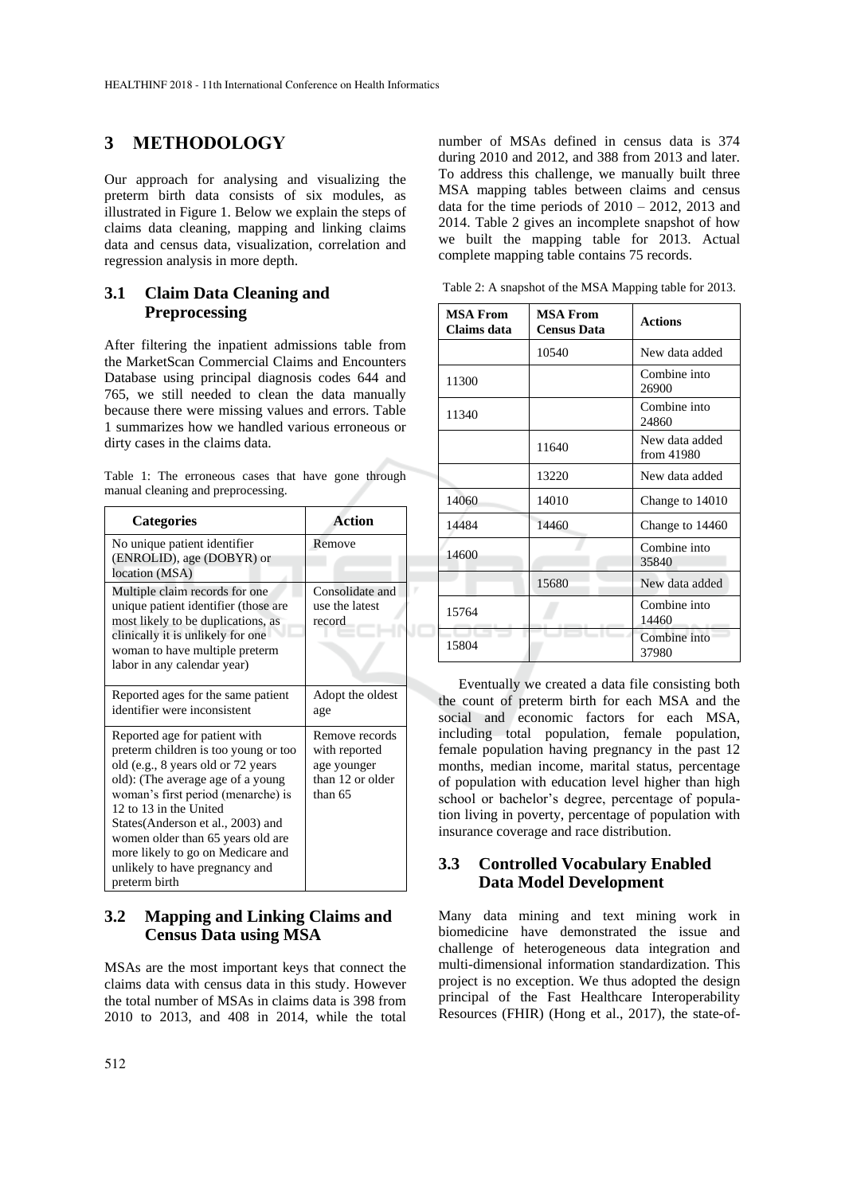### **3 METHODOLOGY**

Our approach for analysing and visualizing the preterm birth data consists of six modules, as illustrated in Figure 1. Below we explain the steps of claims data cleaning, mapping and linking claims data and census data, visualization, correlation and regression analysis in more depth.

#### **3.1 Claim Data Cleaning and Preprocessing**

After filtering the inpatient admissions table from the MarketScan Commercial Claims and Encounters Database using principal diagnosis codes 644 and 765, we still needed to clean the data manually because there were missing values and errors. Table 1 summarizes how we handled various erroneous or dirty cases in the claims data.

|  | Table 1: The erroneous cases that have gone through |  |  |  |
|--|-----------------------------------------------------|--|--|--|
|  | manual cleaning and preprocessing.                  |  |  |  |

| <b>Categories</b>                                                                                                                                                                                                                                                                                                                                                                  | Action                                                                        |
|------------------------------------------------------------------------------------------------------------------------------------------------------------------------------------------------------------------------------------------------------------------------------------------------------------------------------------------------------------------------------------|-------------------------------------------------------------------------------|
| No unique patient identifier<br>(ENROLID), age (DOBYR) or<br>location (MSA)                                                                                                                                                                                                                                                                                                        | Remove                                                                        |
| Multiple claim records for one<br>unique patient identifier (those are<br>most likely to be duplications, as<br>clinically it is unlikely for one<br>woman to have multiple preterm<br>labor in any calendar year)                                                                                                                                                                 | Consolidate and<br>use the latest<br>record                                   |
| Reported ages for the same patient<br>identifier were inconsistent                                                                                                                                                                                                                                                                                                                 | Adopt the oldest<br>age                                                       |
| Reported age for patient with<br>preterm children is too young or too<br>old (e.g., 8 years old or 72 years<br>old): (The average age of a young<br>woman's first period (menarche) is<br>12 to 13 in the United<br>States(Anderson et al., 2003) and<br>women older than 65 years old are<br>more likely to go on Medicare and<br>unlikely to have pregnancy and<br>preterm birth | Remove records<br>with reported<br>age younger<br>than 12 or older<br>than 65 |

#### **3.2 Mapping and Linking Claims and Census Data using MSA**

MSAs are the most important keys that connect the claims data with census data in this study. However the total number of MSAs in claims data is 398 from 2010 to 2013, and 408 in 2014, while the total number of MSAs defined in census data is 374 during 2010 and 2012, and 388 from 2013 and later. To address this challenge, we manually built three MSA mapping tables between claims and census data for the time periods of  $2010 - 2012$ ,  $2013$  and 2014. Table 2 gives an incomplete snapshot of how we built the mapping table for 2013. Actual complete mapping table contains 75 records.

Table 2: A snapshot of the MSA Mapping table for 2013.

| <b>MSA From</b><br>Claims data | <b>MSA From</b><br><b>Census Data</b> | <b>Actions</b>               |
|--------------------------------|---------------------------------------|------------------------------|
|                                | 10540                                 | New data added               |
| 11300                          |                                       | Combine into<br>26900        |
| 11340                          |                                       | Combine into<br>24860        |
|                                | 11640                                 | New data added<br>from 41980 |
|                                | 13220                                 | New data added               |
| 14060                          | 14010                                 | Change to 14010              |
| 14484                          | 14460                                 | Change to 14460              |
| 14600                          |                                       | Combine into<br>35840        |
|                                | 15680                                 | New data added               |
| 15764                          |                                       | Combine into<br>14460        |
| 15804                          |                                       | Combine into<br>37980        |

Eventually we created a data file consisting both the count of preterm birth for each MSA and the social and economic factors for each MSA, including total population, female population, female population having pregnancy in the past 12 months, median income, marital status, percentage of population with education level higher than high school or bachelor's degree, percentage of population living in poverty, percentage of population with insurance coverage and race distribution.

#### **3.3 Controlled Vocabulary Enabled Data Model Development**

Many data mining and text mining work in biomedicine have demonstrated the issue and challenge of heterogeneous data integration and multi-dimensional information standardization. This project is no exception. We thus adopted the design principal of the Fast Healthcare Interoperability Resources (FHIR) (Hong et al., 2017), the state-of-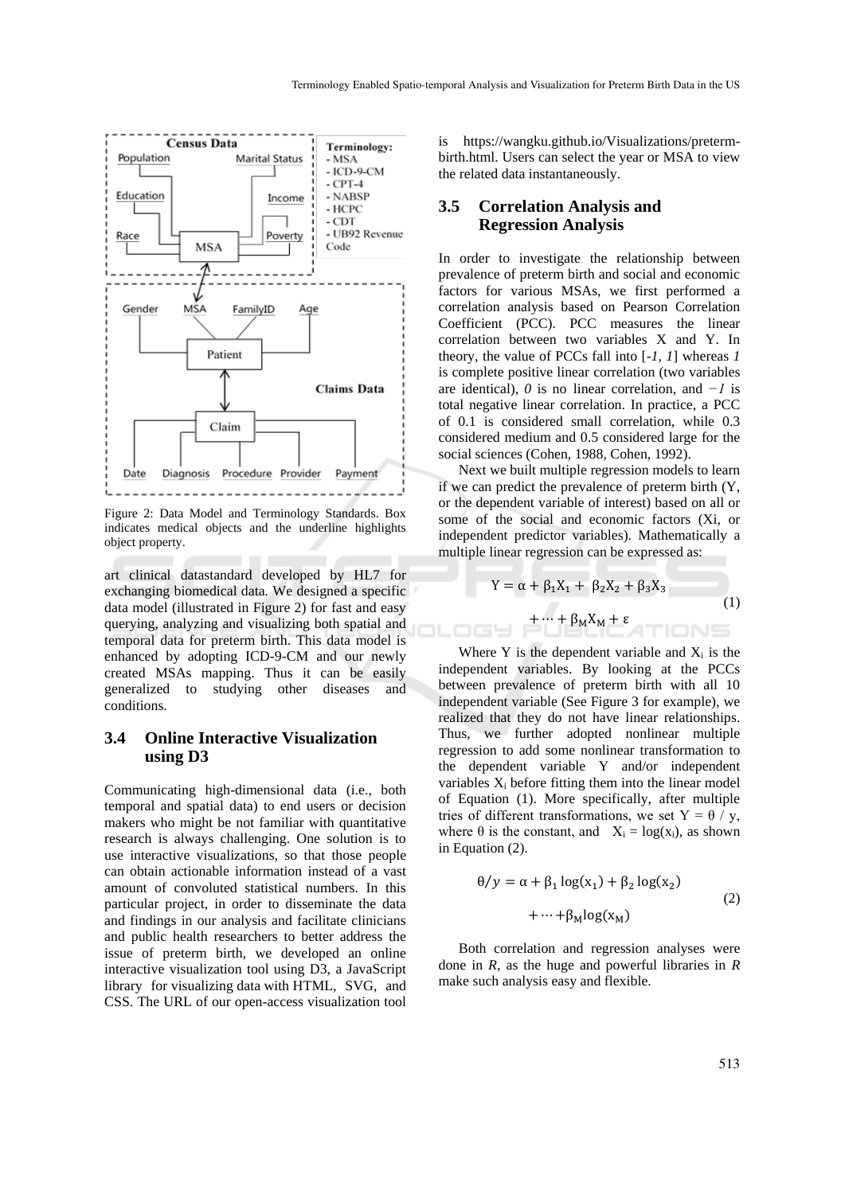

Figure 2: Data Model and Terminology Standards. Box indicates medical objects and the underline highlights object property.

art clinical datastandard developed by HL7 for exchanging biomedical data. We designed a specific data model (illustrated in Figure 2) for fast and easy querying, analyzing and visualizing both spatial and temporal data for preterm birth. This data model is enhanced by adopting ICD-9-CM and our newly created MSAs mapping. Thus it can be easily generalized to studying other diseases and conditions.

#### **3.4 Online Interactive Visualization using D3**

Communicating high-dimensional data (i.e., both temporal and spatial data) to end users or decision makers who might be not familiar with quantitative research is always challenging. One solution is to use interactive visualizations, so that those people can obtain actionable information instead of a vast amount of convoluted statistical numbers. In this particular project, in order to disseminate the data and findings in our analysis and facilitate clinicians and public health researchers to better address the issue of preterm birth, we developed an online interactive visualization tool using D3, a JavaScript library for visualizing data with HTML, SVG, and CSS. The URL of our open-access visualization tool is https://wangku.github.io/Visualizations/pretermbirth.html. Users can select the year or MSA to view the related data instantaneously.

#### **3.5 Correlation Analysis and Regression Analysis**

In order to investigate the relationship between prevalence of preterm birth and social and economic factors for various MSAs, we first performed a correlation analysis based on Pearson Correlation Coefficient (PCC). PCC measures the linear correlation between two variables X and Y. In theory, the value of PCCs fall into [*-1, 1*] whereas *1* is complete positive linear correlation (two variables are identical), *0* is no linear correlation, and *−1* is total negative linear correlation. In practice, a PCC of 0.1 is considered small correlation, while 0.3 considered medium and 0.5 considered large for the social sciences (Cohen, 1988, Cohen, 1992).

Next we built multiple regression models to learn if we can predict the prevalence of preterm birth (Y, or the dependent variable of interest) based on all or some of the social and economic factors (Xi, or independent predictor variables). Mathematically a multiple linear regression can be expressed as:

$$
Y = \alpha + \beta_1 X_1 + \beta_2 X_2 + \beta_3 X_3
$$
  
+ ... +  $\beta_M X_M + \varepsilon$  (1)

Where Y is the dependent variable and  $X_i$  is the independent variables. By looking at the PCCs between prevalence of preterm birth with all 10 independent variable (See Figure 3 for example), we realized that they do not have linear relationships. Thus, we further adopted nonlinear multiple regression to add some nonlinear transformation to the dependent variable Y and/or independent variables  $X_i$  before fitting them into the linear model of Equation (1). More specifically, after multiple tries of different transformations, we set  $Y = \theta / y$ , where  $\theta$  is the constant, and  $X_i = \log(x_i)$ , as shown in Equation (2).

$$
\theta/y = \alpha + \beta_1 \log(x_1) + \beta_2 \log(x_2)
$$
  
+ ... + $\beta_M \log(x_M)$  (2)

Both correlation and regression analyses were done in *R*, as the huge and powerful libraries in *R* make such analysis easy and flexible.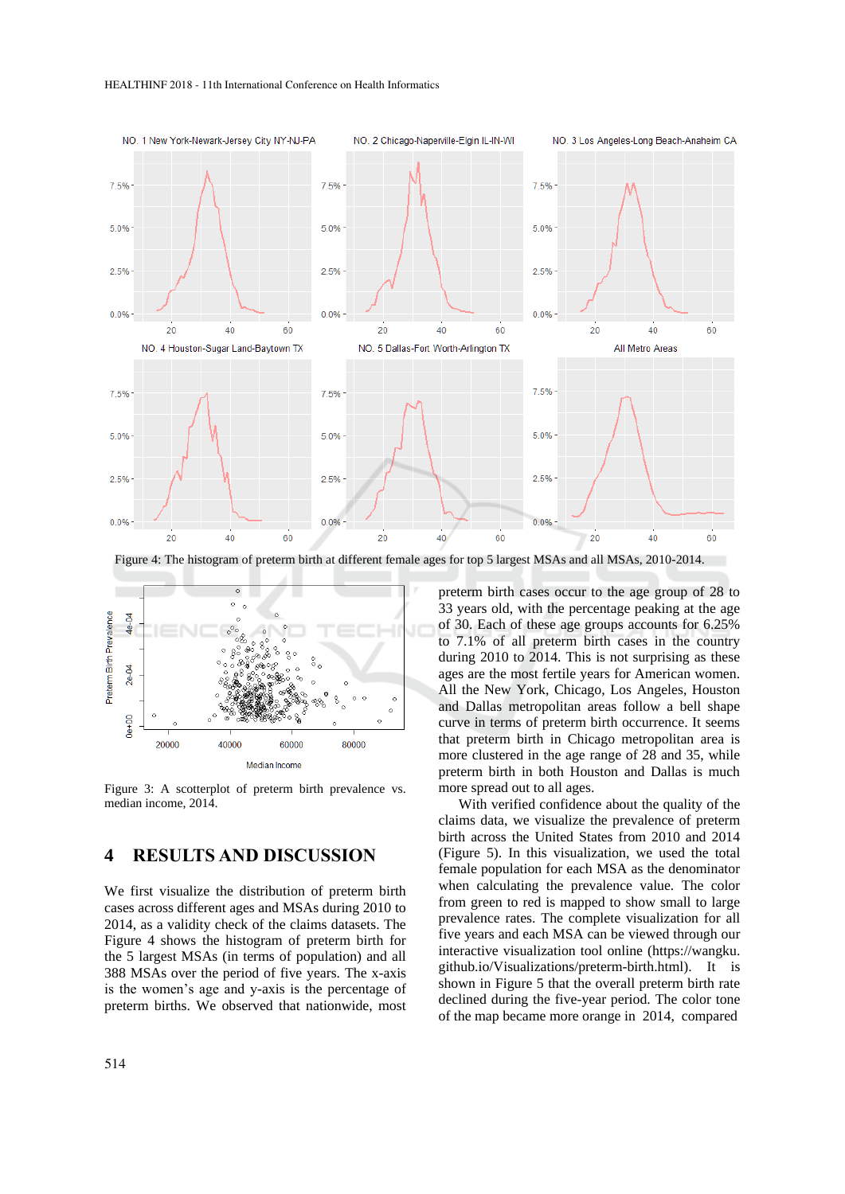

Figure 4: The histogram of preterm birth at different female ages for top 5 largest MSAs and all MSAs, 2010-2014.



Figure 3: A scotterplot of preterm birth prevalence vs. median income, 2014.

#### **4 RESULTS AND DISCUSSION**

We first visualize the distribution of preterm birth cases across different ages and MSAs during 2010 to 2014, as a validity check of the claims datasets. The Figure 4 shows the histogram of preterm birth for the 5 largest MSAs (in terms of population) and all 388 MSAs over the period of five years. The x-axis is the women's age and y-axis is the percentage of preterm births. We observed that nationwide, most

514

preterm birth cases occur to the age group of 28 to 33 years old, with the percentage peaking at the age of 30. Each of these age groups accounts for 6.25% to 7.1% of all preterm birth cases in the country during 2010 to 2014. This is not surprising as these ages are the most fertile years for American women. All the New York, Chicago, Los Angeles, Houston and Dallas metropolitan areas follow a bell shape curve in terms of preterm birth occurrence. It seems that preterm birth in Chicago metropolitan area is more clustered in the age range of 28 and 35, while preterm birth in both Houston and Dallas is much more spread out to all ages.

With verified confidence about the quality of the claims data, we visualize the prevalence of preterm birth across the United States from 2010 and 2014 (Figure 5). In this visualization, we used the total female population for each MSA as the denominator when calculating the prevalence value. The color from green to red is mapped to show small to large prevalence rates. The complete visualization for all five years and each MSA can be viewed through our interactive visualization tool online (https://wangku. github.io/Visualizations/preterm-birth.html). It is shown in Figure 5 that the overall preterm birth rate declined during the five-year period. The color tone of the map became more orange in 2014, compared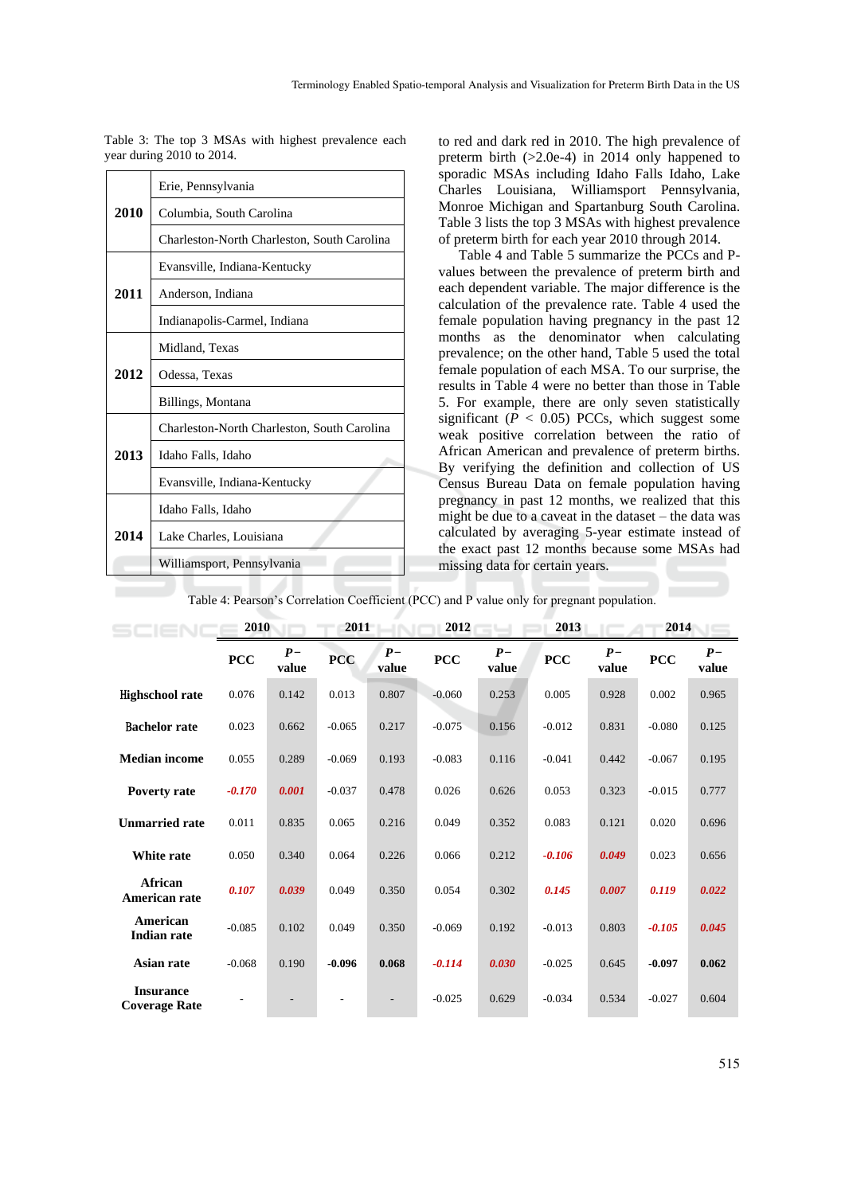|      | Erie, Pennsylvania                          |  |  |  |  |  |  |
|------|---------------------------------------------|--|--|--|--|--|--|
| 2010 | Columbia, South Carolina                    |  |  |  |  |  |  |
|      | Charleston-North Charleston, South Carolina |  |  |  |  |  |  |
|      | Evansville, Indiana-Kentucky                |  |  |  |  |  |  |
| 2011 | Anderson, Indiana                           |  |  |  |  |  |  |
|      | Indianapolis-Carmel, Indiana                |  |  |  |  |  |  |
|      | Midland, Texas                              |  |  |  |  |  |  |
| 2012 | Odessa, Texas                               |  |  |  |  |  |  |
|      | Billings, Montana                           |  |  |  |  |  |  |
|      | Charleston-North Charleston, South Carolina |  |  |  |  |  |  |
| 2013 | Idaho Falls, Idaho                          |  |  |  |  |  |  |
|      | Evansville, Indiana-Kentucky                |  |  |  |  |  |  |
|      | Idaho Falls, Idaho                          |  |  |  |  |  |  |
| 2014 | Lake Charles, Louisiana                     |  |  |  |  |  |  |
|      | Williamsport, Pennsylvania                  |  |  |  |  |  |  |

Table 3: The top 3 MSAs with highest prevalence each year during 2010 to 2014.

to red and dark red in 2010. The high prevalence of preterm birth  $(>2.0e-4)$  in 2014 only happened to sporadic MSAs including Idaho Falls Idaho, Lake Charles Louisiana, Williamsport Pennsylvania, Monroe Michigan and Spartanburg South Carolina. Table 3 lists the top 3 MSAs with highest prevalence of preterm birth for each year 2010 through 2014.

Table 4 and Table 5 summarize the PCCs and Pvalues between the prevalence of preterm birth and each dependent variable. The major difference is the calculation of the prevalence rate. Table 4 used the female population having pregnancy in the past 12 months as the denominator when calculating prevalence; on the other hand, Table 5 used the total female population of each MSA. To our surprise, the results in Table 4 were no better than those in Table 5. For example, there are only seven statistically significant ( $P < 0.05$ ) PCCs, which suggest some weak positive correlation between the ratio of African American and prevalence of preterm births. By verifying the definition and collection of US Census Bureau Data on female population having pregnancy in past 12 months, we realized that this might be due to a caveat in the dataset – the data was calculated by averaging 5-year estimate instead of the exact past 12 months because some MSAs had missing data for certain years.

Table 4: Pearson's Correlation Coefficient (PCC) and P value only for pregnant population.

|                                          | 2010       |               | 2011       |                | 2012       |               | 2013       |               | 2014       |               |
|------------------------------------------|------------|---------------|------------|----------------|------------|---------------|------------|---------------|------------|---------------|
|                                          | <b>PCC</b> | $P-$<br>value | <b>PCC</b> | $P-$<br>value  | <b>PCC</b> | $P-$<br>value | <b>PCC</b> | $P-$<br>value | <b>PCC</b> | $P-$<br>value |
| Highschool rate                          | 0.076      | 0.142         | 0.013      | 0.807          | $-0.060$   | 0.253         | 0.005      | 0.928         | 0.002      | 0.965         |
| <b>Bachelor</b> rate                     | 0.023      | 0.662         | $-0.065$   | 0.217          | $-0.075$   | 0.156         | $-0.012$   | 0.831         | $-0.080$   | 0.125         |
| <b>Median income</b>                     | 0.055      | 0.289         | $-0.069$   | 0.193          | $-0.083$   | 0.116         | $-0.041$   | 0.442         | $-0.067$   | 0.195         |
| <b>Poverty rate</b>                      | $-0.170$   | 0.001         | $-0.037$   | 0.478          | 0.026      | 0.626         | 0.053      | 0.323         | $-0.015$   | 0.777         |
| <b>Unmarried rate</b>                    | 0.011      | 0.835         | 0.065      | 0.216          | 0.049      | 0.352         | 0.083      | 0.121         | 0.020      | 0.696         |
| White rate                               | 0.050      | 0.340         | 0.064      | 0.226          | 0.066      | 0.212         | $-0.106$   | 0.049         | 0.023      | 0.656         |
| <b>African</b><br>American rate          | 0.107      | 0.039         | 0.049      | 0.350          | 0.054      | 0.302         | 0.145      | 0.007         | 0.119      | 0.022         |
| American<br><b>Indian rate</b>           | $-0.085$   | 0.102         | 0.049      | 0.350          | $-0.069$   | 0.192         | $-0.013$   | 0.803         | $-0.105$   | 0.045         |
| Asian rate                               | $-0.068$   | 0.190         | $-0.096$   | 0.068          | $-0.114$   | 0.030         | $-0.025$   | 0.645         | $-0.097$   | 0.062         |
| <b>Insurance</b><br><b>Coverage Rate</b> |            |               |            | $\overline{a}$ | $-0.025$   | 0.629         | $-0.034$   | 0.534         | $-0.027$   | 0.604         |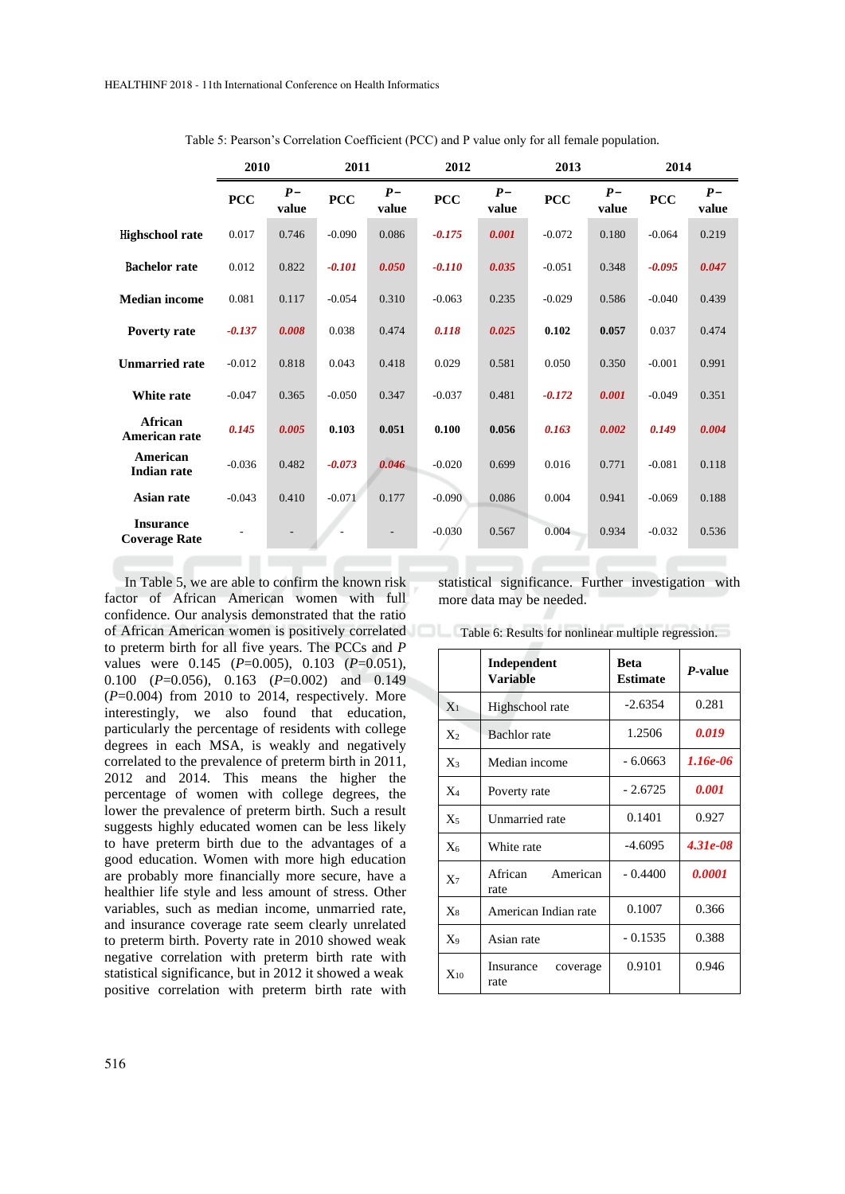|                                          | 2010       |               | 2011       |               | 2012       |               | 2013       |               | 2014       |               |
|------------------------------------------|------------|---------------|------------|---------------|------------|---------------|------------|---------------|------------|---------------|
|                                          | <b>PCC</b> | $P-$<br>value | <b>PCC</b> | $P-$<br>value | <b>PCC</b> | $P-$<br>value | <b>PCC</b> | $P-$<br>value | <b>PCC</b> | $P-$<br>value |
| Highschool rate                          | 0.017      | 0.746         | $-0.090$   | 0.086         | $-0.175$   | 0.001         | $-0.072$   | 0.180         | $-0.064$   | 0.219         |
| <b>Bachelor</b> rate                     | 0.012      | 0.822         | $-0.101$   | 0.050         | $-0.110$   | 0.035         | $-0.051$   | 0.348         | $-0.095$   | 0.047         |
| <b>Median income</b>                     | 0.081      | 0.117         | $-0.054$   | 0.310         | $-0.063$   | 0.235         | $-0.029$   | 0.586         | $-0.040$   | 0.439         |
| <b>Poverty rate</b>                      | $-0.137$   | 0.008         | 0.038      | 0.474         | 0.118      | 0.025         | 0.102      | 0.057         | 0.037      | 0.474         |
| <b>Unmarried rate</b>                    | $-0.012$   | 0.818         | 0.043      | 0.418         | 0.029      | 0.581         | 0.050      | 0.350         | $-0.001$   | 0.991         |
| <b>White rate</b>                        | $-0.047$   | 0.365         | $-0.050$   | 0.347         | $-0.037$   | 0.481         | $-0.172$   | 0.001         | $-0.049$   | 0.351         |
| African<br>American rate                 | 0.145      | 0.005         | 0.103      | 0.051         | 0.100      | 0.056         | 0.163      | 0.002         | 0.149      | 0.004         |
| American<br><b>Indian rate</b>           | $-0.036$   | 0.482         | $-0.073$   | 0.046         | $-0.020$   | 0.699         | 0.016      | 0.771         | $-0.081$   | 0.118         |
| <b>Asian rate</b>                        | $-0.043$   | 0.410         | $-0.071$   | 0.177         | $-0.090$   | 0.086         | 0.004      | 0.941         | $-0.069$   | 0.188         |
| <b>Insurance</b><br><b>Coverage Rate</b> |            |               |            |               | $-0.030$   | 0.567         | 0.004      | 0.934         | $-0.032$   | 0.536         |

Table 5: Pearson's Correlation Coefficient (PCC) and P value only for all female population.

In Table 5, we are able to confirm the known risk factor of African American women with full confidence. Our analysis demonstrated that the ratio of African American women is positively correlated Table 6: Results for nonlinear multiple regression. to preterm birth for all five years. The PCCs and *P* values were 0.145 (*P*=0.005), 0.103 (*P*=0.051), 0.100 (*P*=0.056), 0.163 (*P*=0.002) and 0.149  $(P=0.004)$  from 2010 to 2014, respectively. More interestingly, we also found that education, particularly the percentage of residents with college degrees in each MSA, is weakly and negatively correlated to the prevalence of preterm birth in 2011, 2012 and 2014. This means the higher the percentage of women with college degrees, the lower the prevalence of preterm birth. Such a result suggests highly educated women can be less likely to have preterm birth due to the advantages of a good education. Women with more high education are probably more financially more secure, have a healthier life style and less amount of stress. Other variables, such as median income, unmarried rate, and insurance coverage rate seem clearly unrelated to preterm birth. Poverty rate in 2010 showed weak negative correlation with preterm birth rate with statistical significance, but in 2012 it showed a weak positive correlation with preterm birth rate with

statistical significance. Further investigation with more data may be needed.

|          | Independent<br><b>Variable</b> | <b>Beta</b><br><b>Estimate</b> | P-value      |
|----------|--------------------------------|--------------------------------|--------------|
| $X_1$    | Highschool rate                | $-2.6354$                      | 0.281        |
| $X_2$    | <b>Bachlor</b> rate            | 1.2506                         | 0.019        |
| $X_3$    | Median income                  | $-6.0663$                      | 1.16e-06     |
| $X_4$    | Poverty rate                   | $-2.6725$                      | <i>0.001</i> |
| $X_5$    | Unmarried rate                 | 0.1401                         | 0.927        |
| $X_6$    | White rate                     | $-4.6095$                      | $4.31e-0.8$  |
| $X_7$    | African<br>American<br>rate    | $-0.4400$                      | 0.0001       |
| $X_8$    | American Indian rate           | 0.1007                         | 0.366        |
| $X_9$    | Asian rate                     | $-0.1535$                      | 0.388        |
| $X_{10}$ | Insurance<br>coverage<br>rate  | 0.9101                         | 0.946        |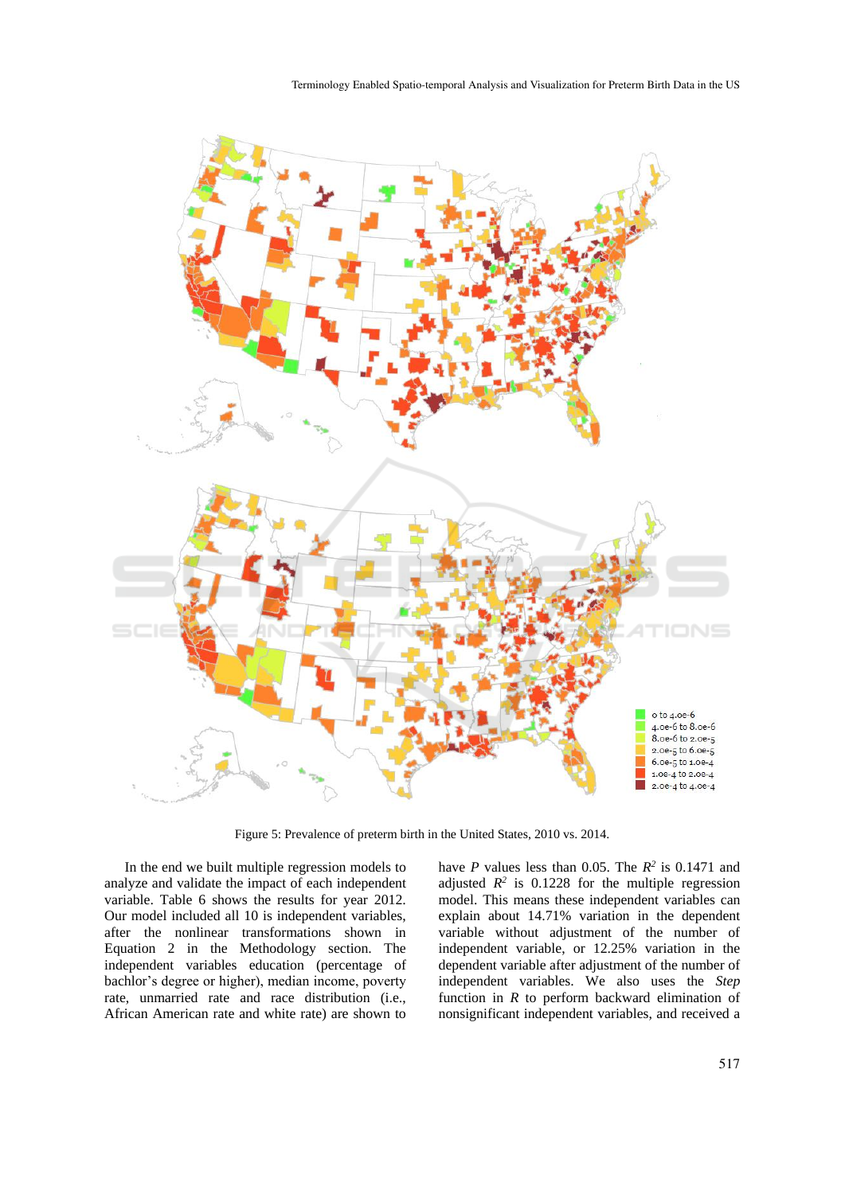

Figure 5: Prevalence of preterm birth in the United States, 2010 vs. 2014.

In the end we built multiple regression models to analyze and validate the impact of each independent variable. Table 6 shows the results for year 2012. Our model included all 10 is independent variables, after the nonlinear transformations shown in Equation 2 in the Methodology section. The independent variables education (percentage of bachlor's degree or higher), median income, poverty rate, unmarried rate and race distribution (i.e., African American rate and white rate) are shown to

have *P* values less than 0.05. The  $R^2$  is 0.1471 and adjusted  $R^2$  is 0.1228 for the multiple regression model. This means these independent variables can explain about 14.71% variation in the dependent variable without adjustment of the number of independent variable, or 12.25% variation in the dependent variable after adjustment of the number of independent variables. We also uses the *Step* function in *R* to perform backward elimination of nonsignificant independent variables, and received a